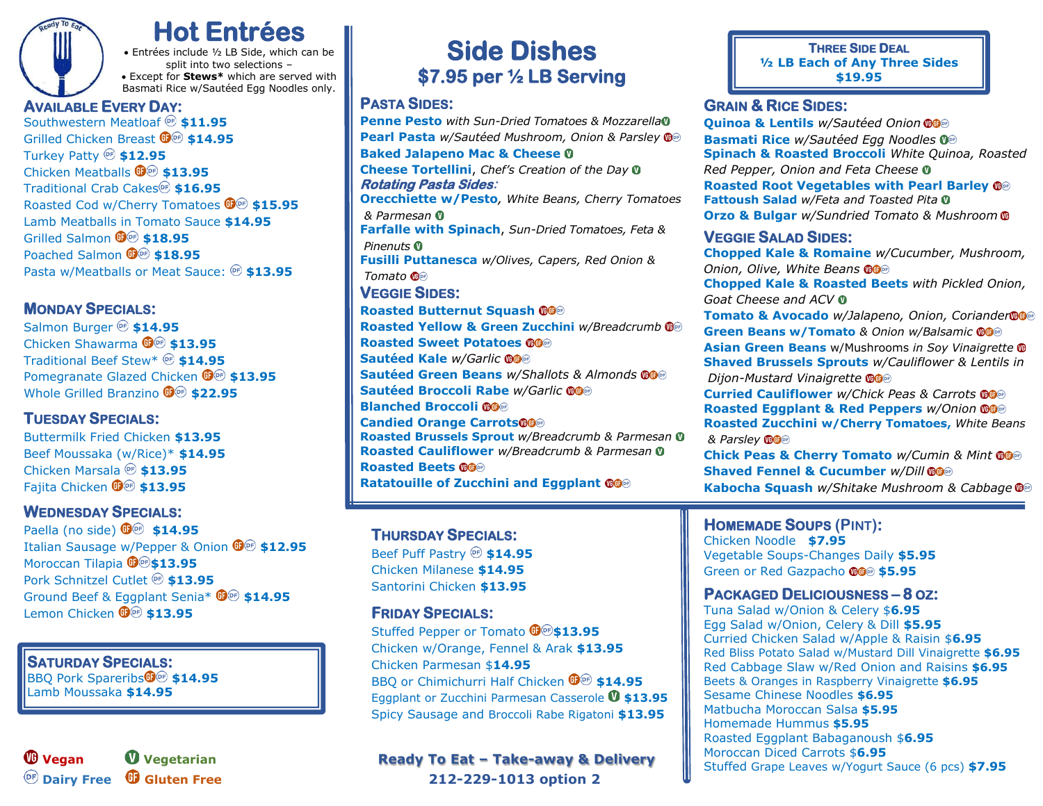**Hot Entrées** • Entrées include ½ LB Side, which can be split into two selections – • Except for **Stews\*** which are served with Basmati Rice w/Sautéed Egg Noodles only.

### **AVAILABLE EVERY DAY:**

Southwestern Meatloaf  $\circledast$  \$11.95 Grilled Chicken Breast  $\mathbf{\mathbb{G}}^{(n)}$  \$14.95 Turkey Patty<sup>®</sup> \$12.95 Chicken Meatballs **\$13.95** Traditional Crab Cakes<sup>®</sup> \$16.95 Roasted Cod w/Cherry Tomatoes  $\mathbf{\mathbb{G}}\n\circledast$  \$15.95 Lamb Meatballs in Tomato Sauce **\$14.95** Grilled Salmon  $\mathbf{\mathbb{G}}^{\text{(e)}}$  \$18.95 Poached Salmon  $\mathbf{\mathbb{G}}^{(n)}$  \$18.95 Pasta w/Meatballs or Meat Sauce:  $\circledast$  \$13.95

#### **MONDAY SPECIALS:**

Salmon Burger<sup>®</sup> \$14.95 Chicken Shawarma  $\mathbf{\mathbb{G}}\mathbf{\oplus}\mathbf{13.95}$ Traditional Beef Stew\* **\$14.95** Pomegranate Glazed Chicken  $\mathbf{\mathbb{G}}\otimes$  \$13.95 Whole Grilled Branzino  $\mathbf{\mathbb{G}}^{(n)}$  \$22.95

#### **TUESDAY SPECIALS:**

Buttermilk Fried Chicken **\$13.95** Beef Moussaka (w/Rice)\* **\$14.95** Chicken Marsala <sup>®</sup> \$13.95 Fajita Chicken  $\mathbf{\mathbb{G}}$ <sup>®</sup> \$13.95

#### **WEDNESDAY SPECIALS:**

Paella (no side) **\$14.95** Italian Sausage w/Pepper & Onion  $\mathbb{G}^{\odot}$  \$12.95 Moroccan Tilapia  $\mathbf{\Theta} \circ \mathbf{\$13.95}$ Pork Schnitzel Cutlet<sup>®</sup> \$13.95 Ground Beef & Eggplant Senia\*  $\mathbb{G}^{\text{op}}$  \$14.95 Lemon Chicken  $\mathbf{\mathbb{G}}^{(n)}$  \$13.95

 **SATURDAY SPECIALS: BBQ Pork Spareribs<sup>CO</sup><sup>®</sup> \$14.95** 

 Lamb Moussaka **\$14.95** 



# **Side Dishes \$7.95 per ½ LB Serving**

#### **PASTA SIDES:**

**Penne Pesto** *with Sun-Dried Tomatoes & Mozzarella* **Pearl Pasta** *w/Sautéed Mushroom, Onion & Parsley* **Baked Jalapeno Mac & Cheese Cheese Tortellini**, *Chef's Creation of the Day* **Rotating Pasta Sides: Orecchiette w/Pesto***, White Beans, Cherry Tomatoes & Parmesan* **Farfalle with Spinach**, *Sun-Dried Tomatoes, Feta & Pinenuts* **Fusilli Puttanesca** *w/Olives, Capers, Red Onion & Tomato* **VEGGIE SIDES: Roasted Butternut Squash Roasted Yellow & Green Zucchini** *w/Breadcrumb* **Roasted Sweet Potatoes Sautéed Kale** *w/Garlic* **Sautéed Green Beans** *w/Shallots & Almonds* **Sautéed Broccoli Rabe** *w/Garlic* **Blanched Broccoli Candied Orange Carrots Roasted Brussels Sprout** *w/Breadcrumb & Parmesan*  **Roasted Cauliflower** *w/Breadcrumb & Parmesan* **Roasted Beets Ratatouille of Zucchini and Eggplant**

### **THURSDAY SPECIALS:**

Beef Puff Pastry <sup>OF</sup> \$14.95 Chicken Milanese **\$14.95** Santorini Chicken **\$13.95**

#### **FRIDAY SPECIALS:**

Stuffed Pepper or Tomato  $\mathbf{\mathbb{G}}\mathbf{\oplus}\mathbf{\$13.95}$ Chicken w/Orange, Fennel & Arak **\$13.95** Chicken Parmesan \$**14.95** BBQ or Chimichurri Half Chicken  $\mathbf{\mathbb{G}}\circledast$  \$14.95 Eggplant or Zucchini Parmesan Casserole <sup>0</sup> \$13.95 Spicy Sausage and Broccoli Rabe Rigatoni **\$13.95**

**Vegan Vegetarian Ready To Eat – Take-away & Delivery Dairy Free Gluten Free 212-229-1013 option 2**

#### **THREE SIDE DEAL ½ LB Each of Any Three Sides \$19.95**

#### **GRAIN & RICE SIDES:**

**Quinoa & Lentils** *w/Sautéed Onion* **Basmati Rice** *w/Sautéed Egg Noodles*  **Spinach & Roasted Broccoli** *White Quinoa, Roasted Red Pepper, Onion and Feta Cheese*  **Roasted Root Vegetables with Pearl Barley Fattoush Salad** *w/Feta and Toasted Pita*  **Orzo & Bulgar** *w/Sundried Tomato & Mushroom*

#### **VEGGIE SALAD SIDES:**

**Chopped Kale & Romaine** *w/Cucumber, Mushroom, Onion, Olive, White Beans* **Chopped Kale & Roasted Beets** *with Pickled Onion, Goat Cheese and ACV*  **Tomato & Avocado** *w/Jalapeno, Onion, Coriander* **Green Beans w/Tomato** *& Onion w/Balsamic* **Asian Green Beans** w/Mushrooms *in Soy Vinaigrette* **Shaved Brussels Sprouts** *w/Cauliflower & Lentils in Dijon-Mustard Vinaigrette* **Curried Cauliflower** *w/Chick Peas & Carrots* **Roasted Eggplant & Red Peppers** *w/Onion* **Roasted Zucchini w/Cherry Tomatoes,** *White Beans & Parsley* **Chick Peas & Cherry Tomato** *w/Cumin & Mint*  **Shaved Fennel & Cucumber** *w/Dill*

**Kabocha Squash** *w/Shitake Mushroom & Cabbage*

#### **HOMEMADE SOUPS (PINT):**

Chicken Noodle **\$7.95** Vegetable Soups-Changes Daily **\$5.95** Green or Red Gazpacho **®®** \$5.95

#### **PACKAGED DELICIOUSNESS – 8 OZ:**

Tuna Salad w/Onion & Celery \$**6.95** Egg Salad w/Onion, Celery & Dill **\$5.95** Curried Chicken Salad w/Apple & Raisin \$**6.95** Red Bliss Potato Salad w/Mustard Dill Vinaigrette **\$6.95** Red Cabbage Slaw w/Red Onion and Raisins **\$6.95** Beets & Oranges in Raspberry Vinaigrette **\$6.95** Sesame Chinese Noodles **\$6.95** Matbucha Moroccan Salsa **\$5.95** Homemade Hummus **\$5.95** Roasted Eggplant Babaganoush \$**6.95** Moroccan Diced Carrots \$**6.95** Stuffed Grape Leaves w/Yogurt Sauce (6 pcs) **\$7.95**